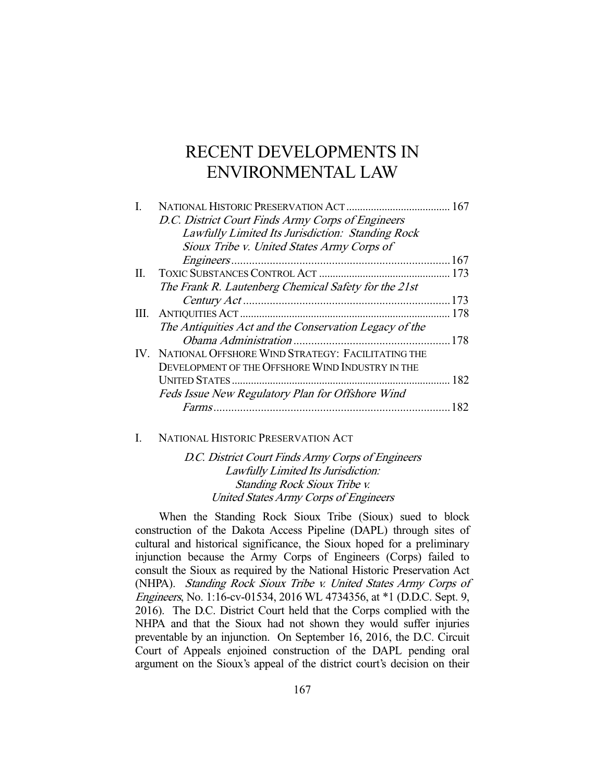# RECENT DEVELOPMENTS IN ENVIRONMENTAL LAW

|     | D.C. District Court Finds Army Corps of Engineers      |     |
|-----|--------------------------------------------------------|-----|
|     | Lawfully Limited Its Jurisdiction: Standing Rock       |     |
|     | Sioux Tribe v. United States Army Corps of             |     |
|     |                                                        |     |
| II. |                                                        |     |
|     | The Frank R. Lautenberg Chemical Safety for the 21st   |     |
|     |                                                        |     |
| Ш.  |                                                        |     |
|     | The Antiquities Act and the Conservation Legacy of the |     |
|     |                                                        |     |
|     | IV. NATIONAL OFFSHORE WIND STRATEGY: FACILITATING THE  |     |
|     | DEVELOPMENT OF THE OFFSHORE WIND INDUSTRY IN THE       |     |
|     |                                                        |     |
|     | Feds Issue New Regulatory Plan for Offshore Wind       |     |
|     |                                                        | 182 |
|     |                                                        |     |

#### I. NATIONAL HISTORIC PRESERVATION ACT

D.C. District Court Finds Army Corps of Engineers Lawfully Limited Its Jurisdiction: Standing Rock Sioux Tribe v. United States Army Corps of Engineers

 When the Standing Rock Sioux Tribe (Sioux) sued to block construction of the Dakota Access Pipeline (DAPL) through sites of cultural and historical significance, the Sioux hoped for a preliminary injunction because the Army Corps of Engineers (Corps) failed to consult the Sioux as required by the National Historic Preservation Act (NHPA). Standing Rock Sioux Tribe v. United States Army Corps of Engineers, No. 1:16-cv-01534, 2016 WL 4734356, at \*1 (D.D.C. Sept. 9, 2016). The D.C. District Court held that the Corps complied with the NHPA and that the Sioux had not shown they would suffer injuries preventable by an injunction. On September 16, 2016, the D.C. Circuit Court of Appeals enjoined construction of the DAPL pending oral argument on the Sioux's appeal of the district court's decision on their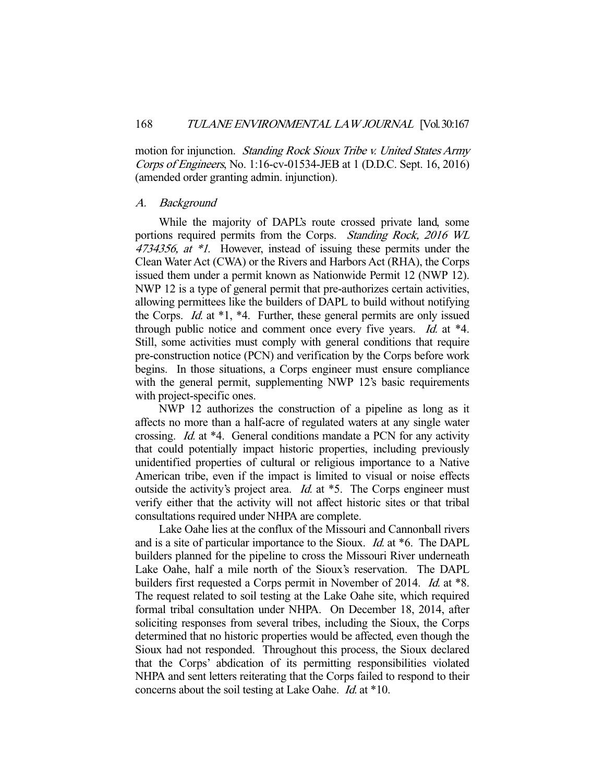motion for injunction. *Standing Rock Sioux Tribe v. United States Army* Corps of Engineers, No. 1:16-cv-01534-JEB at 1 (D.D.C. Sept. 16, 2016) (amended order granting admin. injunction).

#### A. Background

 While the majority of DAPL's route crossed private land, some portions required permits from the Corps. Standing Rock, 2016 WL 4734356, at \*1. However, instead of issuing these permits under the Clean Water Act (CWA) or the Rivers and Harbors Act (RHA), the Corps issued them under a permit known as Nationwide Permit 12 (NWP 12). NWP 12 is a type of general permit that pre-authorizes certain activities, allowing permittees like the builders of DAPL to build without notifying the Corps. *Id.* at  $*1$ ,  $*4$ . Further, these general permits are only issued through public notice and comment once every five years. *Id.* at \*4. Still, some activities must comply with general conditions that require pre-construction notice (PCN) and verification by the Corps before work begins. In those situations, a Corps engineer must ensure compliance with the general permit, supplementing NWP 12's basic requirements with project-specific ones.

 NWP 12 authorizes the construction of a pipeline as long as it affects no more than a half-acre of regulated waters at any single water crossing. Id. at \*4. General conditions mandate a PCN for any activity that could potentially impact historic properties, including previously unidentified properties of cultural or religious importance to a Native American tribe, even if the impact is limited to visual or noise effects outside the activity's project area. *Id.* at \*5. The Corps engineer must verify either that the activity will not affect historic sites or that tribal consultations required under NHPA are complete.

 Lake Oahe lies at the conflux of the Missouri and Cannonball rivers and is a site of particular importance to the Sioux. Id. at \*6. The DAPL builders planned for the pipeline to cross the Missouri River underneath Lake Oahe, half a mile north of the Sioux's reservation. The DAPL builders first requested a Corps permit in November of 2014. *Id.* at \*8. The request related to soil testing at the Lake Oahe site, which required formal tribal consultation under NHPA. On December 18, 2014, after soliciting responses from several tribes, including the Sioux, the Corps determined that no historic properties would be affected, even though the Sioux had not responded. Throughout this process, the Sioux declared that the Corps' abdication of its permitting responsibilities violated NHPA and sent letters reiterating that the Corps failed to respond to their concerns about the soil testing at Lake Oahe. Id. at \*10.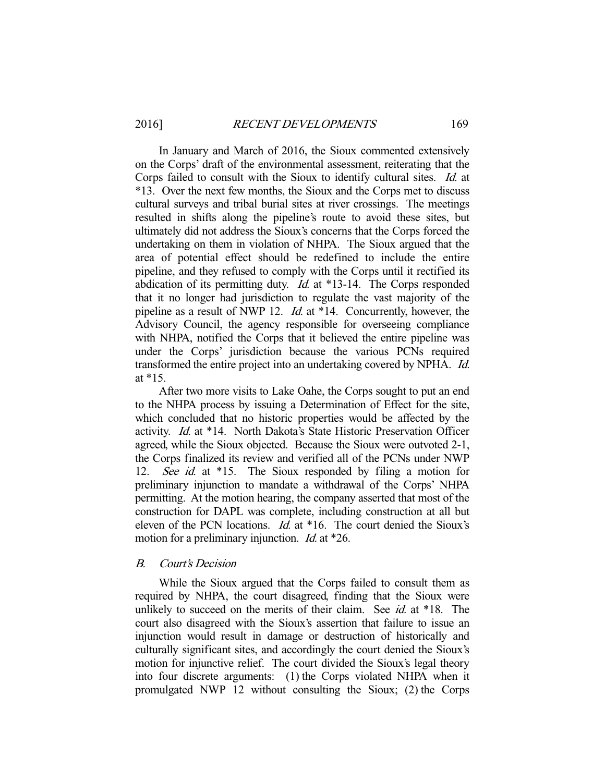In January and March of 2016, the Sioux commented extensively on the Corps' draft of the environmental assessment, reiterating that the Corps failed to consult with the Sioux to identify cultural sites. Id. at \*13. Over the next few months, the Sioux and the Corps met to discuss cultural surveys and tribal burial sites at river crossings. The meetings resulted in shifts along the pipeline's route to avoid these sites, but ultimately did not address the Sioux's concerns that the Corps forced the undertaking on them in violation of NHPA. The Sioux argued that the area of potential effect should be redefined to include the entire pipeline, and they refused to comply with the Corps until it rectified its abdication of its permitting duty. *Id.* at \*13-14. The Corps responded that it no longer had jurisdiction to regulate the vast majority of the pipeline as a result of NWP 12. Id. at \*14. Concurrently, however, the Advisory Council, the agency responsible for overseeing compliance with NHPA, notified the Corps that it believed the entire pipeline was under the Corps' jurisdiction because the various PCNs required transformed the entire project into an undertaking covered by NPHA. Id. at \*15.

 After two more visits to Lake Oahe, the Corps sought to put an end to the NHPA process by issuing a Determination of Effect for the site, which concluded that no historic properties would be affected by the activity. Id. at \*14. North Dakota's State Historic Preservation Officer agreed, while the Sioux objected. Because the Sioux were outvoted 2-1, the Corps finalized its review and verified all of the PCNs under NWP 12. See id. at \*15. The Sioux responded by filing a motion for preliminary injunction to mandate a withdrawal of the Corps' NHPA permitting. At the motion hearing, the company asserted that most of the construction for DAPL was complete, including construction at all but eleven of the PCN locations. Id. at \*16. The court denied the Sioux's motion for a preliminary injunction. *Id.* at \*26.

#### B. Court's Decision

 While the Sioux argued that the Corps failed to consult them as required by NHPA, the court disagreed, finding that the Sioux were unlikely to succeed on the merits of their claim. See *id.* at \*18. The court also disagreed with the Sioux's assertion that failure to issue an injunction would result in damage or destruction of historically and culturally significant sites, and accordingly the court denied the Sioux's motion for injunctive relief. The court divided the Sioux's legal theory into four discrete arguments: (1) the Corps violated NHPA when it promulgated NWP 12 without consulting the Sioux; (2) the Corps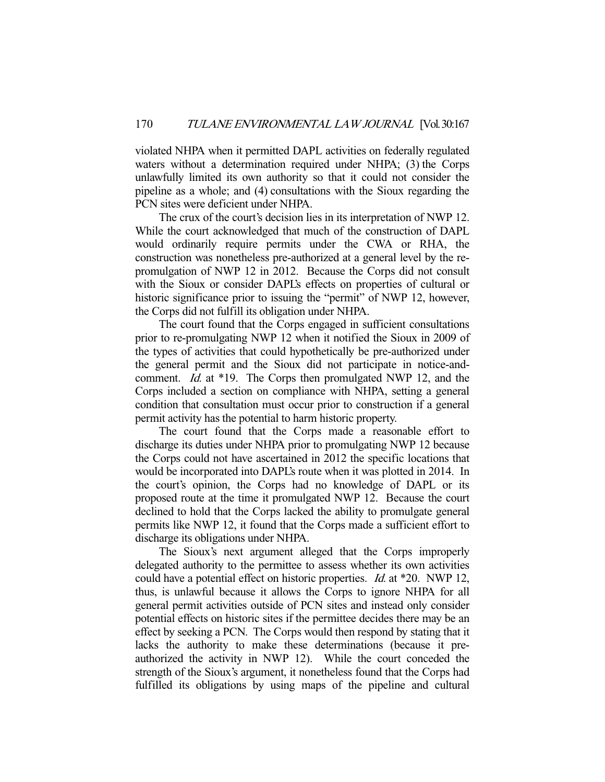violated NHPA when it permitted DAPL activities on federally regulated waters without a determination required under NHPA; (3) the Corps unlawfully limited its own authority so that it could not consider the pipeline as a whole; and (4) consultations with the Sioux regarding the PCN sites were deficient under NHPA.

 The crux of the court's decision lies in its interpretation of NWP 12. While the court acknowledged that much of the construction of DAPL would ordinarily require permits under the CWA or RHA, the construction was nonetheless pre-authorized at a general level by the repromulgation of NWP 12 in 2012. Because the Corps did not consult with the Sioux or consider DAPL's effects on properties of cultural or historic significance prior to issuing the "permit" of NWP 12, however, the Corps did not fulfill its obligation under NHPA.

 The court found that the Corps engaged in sufficient consultations prior to re-promulgating NWP 12 when it notified the Sioux in 2009 of the types of activities that could hypothetically be pre-authorized under the general permit and the Sioux did not participate in notice-andcomment. *Id.* at \*19. The Corps then promulgated NWP 12, and the Corps included a section on compliance with NHPA, setting a general condition that consultation must occur prior to construction if a general permit activity has the potential to harm historic property.

 The court found that the Corps made a reasonable effort to discharge its duties under NHPA prior to promulgating NWP 12 because the Corps could not have ascertained in 2012 the specific locations that would be incorporated into DAPL's route when it was plotted in 2014. In the court's opinion, the Corps had no knowledge of DAPL or its proposed route at the time it promulgated NWP 12. Because the court declined to hold that the Corps lacked the ability to promulgate general permits like NWP 12, it found that the Corps made a sufficient effort to discharge its obligations under NHPA.

 The Sioux's next argument alleged that the Corps improperly delegated authority to the permittee to assess whether its own activities could have a potential effect on historic properties. Id. at \*20. NWP 12, thus, is unlawful because it allows the Corps to ignore NHPA for all general permit activities outside of PCN sites and instead only consider potential effects on historic sites if the permittee decides there may be an effect by seeking a PCN. The Corps would then respond by stating that it lacks the authority to make these determinations (because it preauthorized the activity in NWP 12). While the court conceded the strength of the Sioux's argument, it nonetheless found that the Corps had fulfilled its obligations by using maps of the pipeline and cultural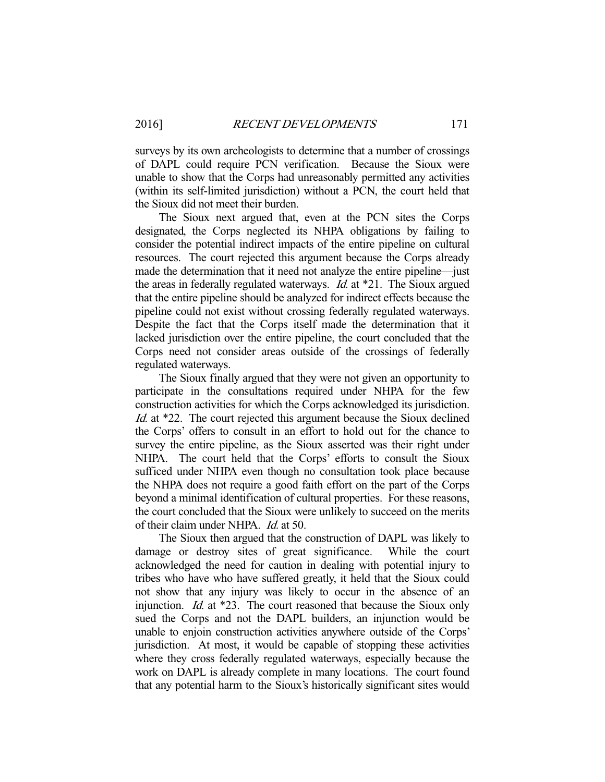surveys by its own archeologists to determine that a number of crossings of DAPL could require PCN verification. Because the Sioux were unable to show that the Corps had unreasonably permitted any activities (within its self-limited jurisdiction) without a PCN, the court held that the Sioux did not meet their burden.

 The Sioux next argued that, even at the PCN sites the Corps designated, the Corps neglected its NHPA obligations by failing to consider the potential indirect impacts of the entire pipeline on cultural resources. The court rejected this argument because the Corps already made the determination that it need not analyze the entire pipeline—just the areas in federally regulated waterways. Id. at \*21. The Sioux argued that the entire pipeline should be analyzed for indirect effects because the pipeline could not exist without crossing federally regulated waterways. Despite the fact that the Corps itself made the determination that it lacked jurisdiction over the entire pipeline, the court concluded that the Corps need not consider areas outside of the crossings of federally regulated waterways.

 The Sioux finally argued that they were not given an opportunity to participate in the consultations required under NHPA for the few construction activities for which the Corps acknowledged its jurisdiction. Id. at \*22. The court rejected this argument because the Sioux declined the Corps' offers to consult in an effort to hold out for the chance to survey the entire pipeline, as the Sioux asserted was their right under NHPA. The court held that the Corps' efforts to consult the Sioux sufficed under NHPA even though no consultation took place because the NHPA does not require a good faith effort on the part of the Corps beyond a minimal identification of cultural properties. For these reasons, the court concluded that the Sioux were unlikely to succeed on the merits of their claim under NHPA. *Id.* at 50.

 The Sioux then argued that the construction of DAPL was likely to damage or destroy sites of great significance. While the court acknowledged the need for caution in dealing with potential injury to tribes who have who have suffered greatly, it held that the Sioux could not show that any injury was likely to occur in the absence of an injunction. Id. at \*23. The court reasoned that because the Sioux only sued the Corps and not the DAPL builders, an injunction would be unable to enjoin construction activities anywhere outside of the Corps' jurisdiction. At most, it would be capable of stopping these activities where they cross federally regulated waterways, especially because the work on DAPL is already complete in many locations. The court found that any potential harm to the Sioux's historically significant sites would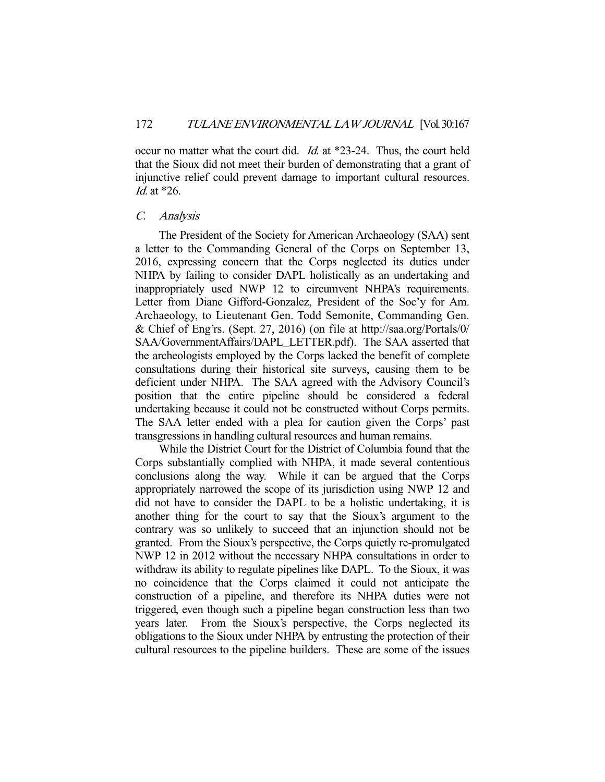occur no matter what the court did. Id. at \*23-24. Thus, the court held that the Sioux did not meet their burden of demonstrating that a grant of injunctive relief could prevent damage to important cultural resources. Id. at \*26.

#### C. Analysis

 The President of the Society for American Archaeology (SAA) sent a letter to the Commanding General of the Corps on September 13, 2016, expressing concern that the Corps neglected its duties under NHPA by failing to consider DAPL holistically as an undertaking and inappropriately used NWP 12 to circumvent NHPA's requirements. Letter from Diane Gifford-Gonzalez, President of the Soc'y for Am. Archaeology, to Lieutenant Gen. Todd Semonite, Commanding Gen. & Chief of Eng'rs. (Sept. 27, 2016) (on file at http://saa.org/Portals/0/ SAA/GovernmentAffairs/DAPL\_LETTER.pdf). The SAA asserted that the archeologists employed by the Corps lacked the benefit of complete consultations during their historical site surveys, causing them to be deficient under NHPA. The SAA agreed with the Advisory Council's position that the entire pipeline should be considered a federal undertaking because it could not be constructed without Corps permits. The SAA letter ended with a plea for caution given the Corps' past transgressions in handling cultural resources and human remains.

 While the District Court for the District of Columbia found that the Corps substantially complied with NHPA, it made several contentious conclusions along the way. While it can be argued that the Corps appropriately narrowed the scope of its jurisdiction using NWP 12 and did not have to consider the DAPL to be a holistic undertaking, it is another thing for the court to say that the Sioux's argument to the contrary was so unlikely to succeed that an injunction should not be granted. From the Sioux's perspective, the Corps quietly re-promulgated NWP 12 in 2012 without the necessary NHPA consultations in order to withdraw its ability to regulate pipelines like DAPL. To the Sioux, it was no coincidence that the Corps claimed it could not anticipate the construction of a pipeline, and therefore its NHPA duties were not triggered, even though such a pipeline began construction less than two vears later. From the Sioux's perspective, the Corps neglected its From the Sioux's perspective, the Corps neglected its obligations to the Sioux under NHPA by entrusting the protection of their cultural resources to the pipeline builders. These are some of the issues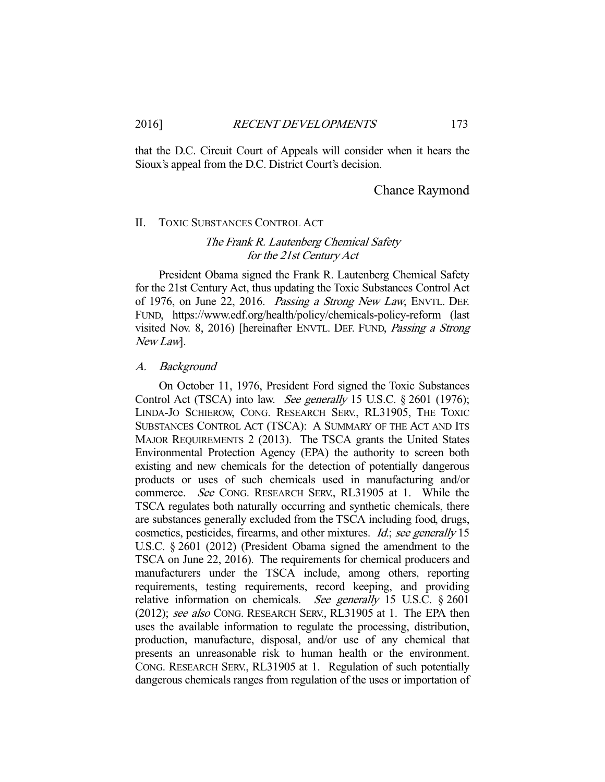that the D.C. Circuit Court of Appeals will consider when it hears the Sioux's appeal from the D.C. District Court's decision.

# Chance Raymond

## II. TOXIC SUBSTANCES CONTROL ACT

# The Frank R. Lautenberg Chemical Safety for the 21st Century Act

 President Obama signed the Frank R. Lautenberg Chemical Safety for the 21st Century Act, thus updating the Toxic Substances Control Act of 1976, on June 22, 2016. Passing a Strong New Law, ENVTL. DEF. FUND, https://www.edf.org/health/policy/chemicals-policy-reform (last visited Nov. 8, 2016) [hereinafter ENVTL. DEF. FUND, Passing a Strong New Law].

#### A. Background

 On October 11, 1976, President Ford signed the Toxic Substances Control Act (TSCA) into law. See generally 15 U.S.C. § 2601 (1976); LINDA-JO SCHIEROW, CONG. RESEARCH SERV., RL31905, THE TOXIC SUBSTANCES CONTROL ACT (TSCA): A SUMMARY OF THE ACT AND ITS MAJOR REQUIREMENTS 2 (2013). The TSCA grants the United States Environmental Protection Agency (EPA) the authority to screen both existing and new chemicals for the detection of potentially dangerous products or uses of such chemicals used in manufacturing and/or commerce. See CONG. RESEARCH SERV., RL31905 at 1. While the TSCA regulates both naturally occurring and synthetic chemicals, there are substances generally excluded from the TSCA including food, drugs, cosmetics, pesticides, firearms, and other mixtures. Id.; see generally 15 U.S.C. § 2601 (2012) (President Obama signed the amendment to the TSCA on June 22, 2016). The requirements for chemical producers and manufacturers under the TSCA include, among others, reporting requirements, testing requirements, record keeping, and providing relative information on chemicals. See generally 15 U.S.C.  $\S 2601$ (2012); see also CONG. RESEARCH SERV., RL31905 at 1. The EPA then uses the available information to regulate the processing, distribution, production, manufacture, disposal, and/or use of any chemical that presents an unreasonable risk to human health or the environment. CONG. RESEARCH SERV., RL31905 at 1. Regulation of such potentially dangerous chemicals ranges from regulation of the uses or importation of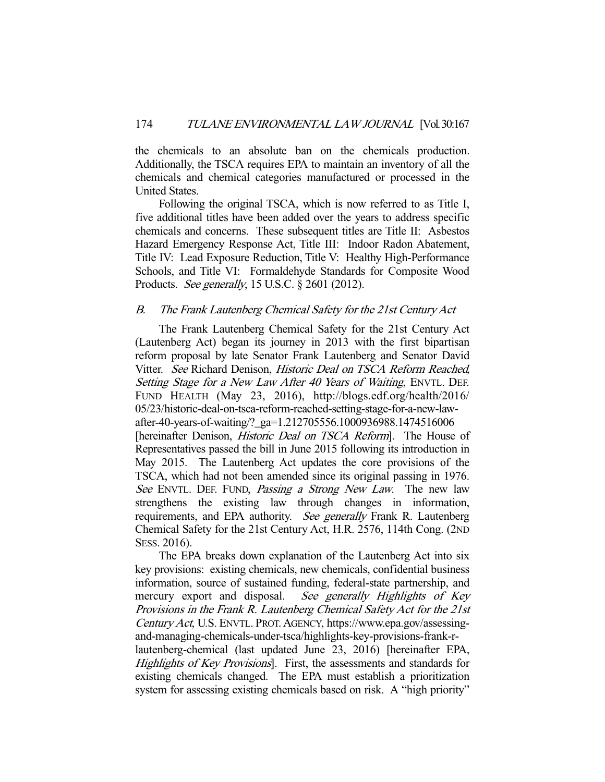the chemicals to an absolute ban on the chemicals production. Additionally, the TSCA requires EPA to maintain an inventory of all the chemicals and chemical categories manufactured or processed in the United States.

 Following the original TSCA, which is now referred to as Title I, five additional titles have been added over the years to address specific chemicals and concerns. These subsequent titles are Title II: Asbestos Hazard Emergency Response Act, Title III: Indoor Radon Abatement, Title IV: Lead Exposure Reduction, Title V: Healthy High-Performance Schools, and Title VI: Formaldehyde Standards for Composite Wood Products. See generally, 15 U.S.C. § 2601 (2012).

# B. The Frank Lautenberg Chemical Safety for the 21st Century Act

 The Frank Lautenberg Chemical Safety for the 21st Century Act (Lautenberg Act) began its journey in 2013 with the first bipartisan reform proposal by late Senator Frank Lautenberg and Senator David Vitter. See Richard Denison, Historic Deal on TSCA Reform Reached, Setting Stage for a New Law After 40 Years of Waiting, ENVTL. DEF. FUND HEALTH (May 23, 2016), http://blogs.edf.org/health/2016/ 05/23/historic-deal-on-tsca-reform-reached-setting-stage-for-a-new-lawafter-40-years-of-waiting/?\_ga=1.212705556.1000936988.1474516006 [hereinafter Denison, *Historic Deal on TSCA Reform*]. The House of Representatives passed the bill in June 2015 following its introduction in May 2015. The Lautenberg Act updates the core provisions of the TSCA, which had not been amended since its original passing in 1976. See ENVTL. DEF. FUND, *Passing a Strong New Law*. The new law strengthens the existing law through changes in information, requirements, and EPA authority. See generally Frank R. Lautenberg Chemical Safety for the 21st Century Act, H.R. 2576, 114th Cong. (2ND SESS. 2016).

 The EPA breaks down explanation of the Lautenberg Act into six key provisions: existing chemicals, new chemicals, confidential business information, source of sustained funding, federal-state partnership, and mercury export and disposal. See generally Highlights of Key Provisions in the Frank R. Lautenberg Chemical Safety Act for the 21st Century Act, U.S. ENVTL. PROT. AGENCY, https://www.epa.gov/assessingand-managing-chemicals-under-tsca/highlights-key-provisions-frank-rlautenberg-chemical (last updated June 23, 2016) [hereinafter EPA, Highlights of Key Provisions]. First, the assessments and standards for existing chemicals changed. The EPA must establish a prioritization

system for assessing existing chemicals based on risk. A "high priority"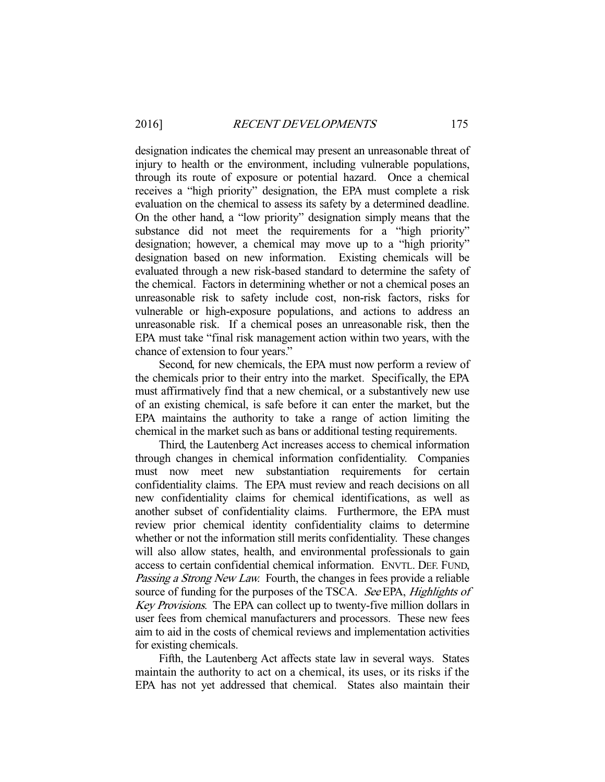designation indicates the chemical may present an unreasonable threat of injury to health or the environment, including vulnerable populations, through its route of exposure or potential hazard. Once a chemical receives a "high priority" designation, the EPA must complete a risk evaluation on the chemical to assess its safety by a determined deadline. On the other hand, a "low priority" designation simply means that the substance did not meet the requirements for a "high priority" designation; however, a chemical may move up to a "high priority" designation based on new information. Existing chemicals will be evaluated through a new risk-based standard to determine the safety of the chemical. Factors in determining whether or not a chemical poses an unreasonable risk to safety include cost, non-risk factors, risks for vulnerable or high-exposure populations, and actions to address an unreasonable risk. If a chemical poses an unreasonable risk, then the EPA must take "final risk management action within two years, with the chance of extension to four years."

 Second, for new chemicals, the EPA must now perform a review of the chemicals prior to their entry into the market. Specifically, the EPA must affirmatively find that a new chemical, or a substantively new use of an existing chemical, is safe before it can enter the market, but the EPA maintains the authority to take a range of action limiting the chemical in the market such as bans or additional testing requirements.

 Third, the Lautenberg Act increases access to chemical information through changes in chemical information confidentiality. Companies must now meet new substantiation requirements for certain confidentiality claims. The EPA must review and reach decisions on all new confidentiality claims for chemical identifications, as well as another subset of confidentiality claims. Furthermore, the EPA must review prior chemical identity confidentiality claims to determine whether or not the information still merits confidentiality. These changes will also allow states, health, and environmental professionals to gain access to certain confidential chemical information. ENVTL. DEF. FUND, Passing a Strong New Law. Fourth, the changes in fees provide a reliable source of funding for the purposes of the TSCA. See EPA, Highlights of Key Provisions. The EPA can collect up to twenty-five million dollars in user fees from chemical manufacturers and processors. These new fees aim to aid in the costs of chemical reviews and implementation activities for existing chemicals.

 Fifth, the Lautenberg Act affects state law in several ways. States maintain the authority to act on a chemical, its uses, or its risks if the EPA has not yet addressed that chemical. States also maintain their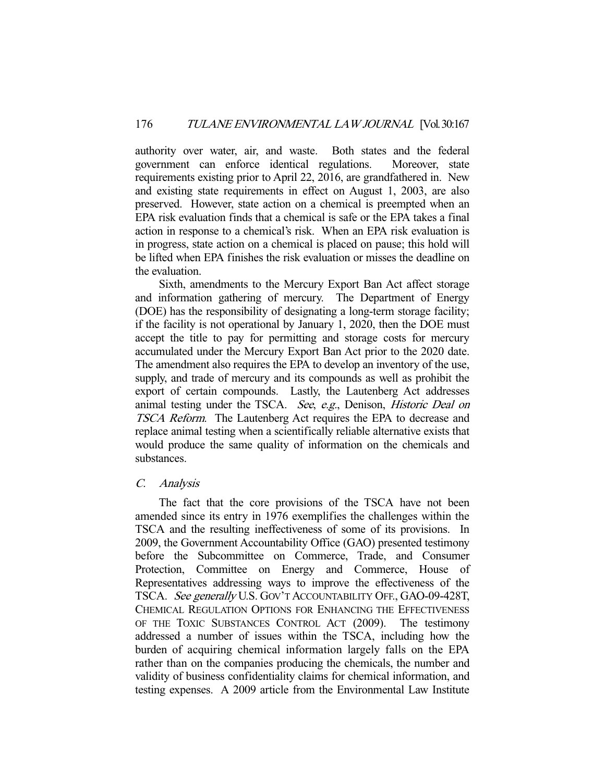authority over water, air, and waste. Both states and the federal government can enforce identical regulations. Moreover, state requirements existing prior to April 22, 2016, are grandfathered in. New and existing state requirements in effect on August 1, 2003, are also preserved. However, state action on a chemical is preempted when an EPA risk evaluation finds that a chemical is safe or the EPA takes a final action in response to a chemical's risk. When an EPA risk evaluation is in progress, state action on a chemical is placed on pause; this hold will be lifted when EPA finishes the risk evaluation or misses the deadline on the evaluation.

 Sixth, amendments to the Mercury Export Ban Act affect storage and information gathering of mercury. The Department of Energy (DOE) has the responsibility of designating a long-term storage facility; if the facility is not operational by January 1, 2020, then the DOE must accept the title to pay for permitting and storage costs for mercury accumulated under the Mercury Export Ban Act prior to the 2020 date. The amendment also requires the EPA to develop an inventory of the use, supply, and trade of mercury and its compounds as well as prohibit the export of certain compounds. Lastly, the Lautenberg Act addresses animal testing under the TSCA. See, e.g., Denison, Historic Deal on TSCA Reform. The Lautenberg Act requires the EPA to decrease and replace animal testing when a scientifically reliable alternative exists that would produce the same quality of information on the chemicals and substances.

# C. Analysis

 The fact that the core provisions of the TSCA have not been amended since its entry in 1976 exemplifies the challenges within the TSCA and the resulting ineffectiveness of some of its provisions. In 2009, the Government Accountability Office (GAO) presented testimony before the Subcommittee on Commerce, Trade, and Consumer Protection, Committee on Energy and Commerce, House of Representatives addressing ways to improve the effectiveness of the TSCA. See generally U.S. GOV'T ACCOUNTABILITY OFF., GAO-09-428T, CHEMICAL REGULATION OPTIONS FOR ENHANCING THE EFFECTIVENESS OF THE TOXIC SUBSTANCES CONTROL ACT (2009). The testimony addressed a number of issues within the TSCA, including how the burden of acquiring chemical information largely falls on the EPA rather than on the companies producing the chemicals, the number and validity of business confidentiality claims for chemical information, and testing expenses. A 2009 article from the Environmental Law Institute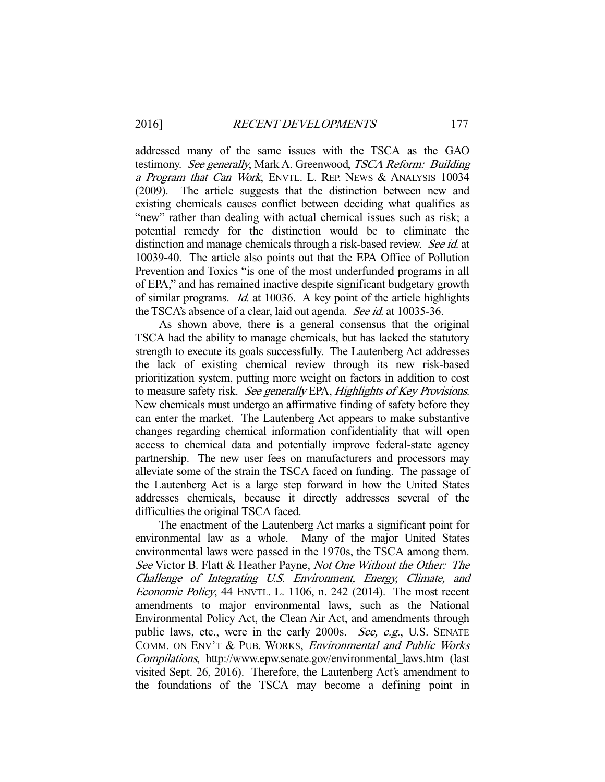addressed many of the same issues with the TSCA as the GAO testimony. See generally, Mark A. Greenwood, TSCA Reform: Building a Program that Can Work, ENVTL. L. REP. NEWS & ANALYSIS 10034 (2009). The article suggests that the distinction between new and existing chemicals causes conflict between deciding what qualifies as "new" rather than dealing with actual chemical issues such as risk; a potential remedy for the distinction would be to eliminate the distinction and manage chemicals through a risk-based review. See id. at 10039-40. The article also points out that the EPA Office of Pollution Prevention and Toxics "is one of the most underfunded programs in all of EPA," and has remained inactive despite significant budgetary growth of similar programs. Id. at 10036. A key point of the article highlights the TSCA's absence of a clear, laid out agenda. See id. at 10035-36.

 As shown above, there is a general consensus that the original TSCA had the ability to manage chemicals, but has lacked the statutory strength to execute its goals successfully. The Lautenberg Act addresses the lack of existing chemical review through its new risk-based prioritization system, putting more weight on factors in addition to cost to measure safety risk. See generally EPA, Highlights of Key Provisions. New chemicals must undergo an affirmative finding of safety before they can enter the market. The Lautenberg Act appears to make substantive changes regarding chemical information confidentiality that will open access to chemical data and potentially improve federal-state agency partnership. The new user fees on manufacturers and processors may alleviate some of the strain the TSCA faced on funding. The passage of the Lautenberg Act is a large step forward in how the United States addresses chemicals, because it directly addresses several of the difficulties the original TSCA faced.

 The enactment of the Lautenberg Act marks a significant point for environmental law as a whole. Many of the major United States environmental laws were passed in the 1970s, the TSCA among them. See Victor B. Flatt & Heather Payne, Not One Without the Other: The Challenge of Integrating U.S. Environment, Energy, Climate, and Economic Policy, 44 ENVTL. L. 1106, n. 242 (2014). The most recent amendments to major environmental laws, such as the National Environmental Policy Act, the Clean Air Act, and amendments through public laws, etc., were in the early 2000s. See, e.g., U.S. SENATE COMM. ON ENV'T & PUB. WORKS, Environmental and Public Works Compilations, http://www.epw.senate.gov/environmental\_laws.htm (last visited Sept. 26, 2016). Therefore, the Lautenberg Act's amendment to the foundations of the TSCA may become a defining point in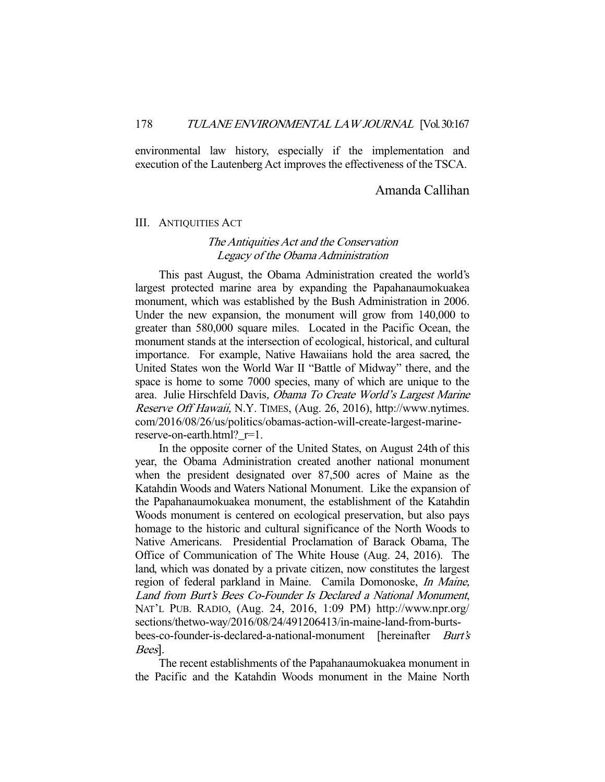environmental law history, especially if the implementation and execution of the Lautenberg Act improves the effectiveness of the TSCA.

# Amanda Callihan

#### III. ANTIQUITIES ACT

# The Antiquities Act and the Conservation Legacy of the Obama Administration

 This past August, the Obama Administration created the world's largest protected marine area by expanding the Papahanaumokuakea monument, which was established by the Bush Administration in 2006. Under the new expansion, the monument will grow from 140,000 to greater than 580,000 square miles. Located in the Pacific Ocean, the monument stands at the intersection of ecological, historical, and cultural importance. For example, Native Hawaiians hold the area sacred, the United States won the World War II "Battle of Midway" there, and the space is home to some 7000 species, many of which are unique to the area. Julie Hirschfeld Davis, Obama To Create World's Largest Marine Reserve Off Hawaii, N.Y. TIMES, (Aug. 26, 2016), http://www.nytimes. com/2016/08/26/us/politics/obamas-action-will-create-largest-marinereserve-on-earth.html?\_r=1.

 In the opposite corner of the United States, on August 24th of this year, the Obama Administration created another national monument when the president designated over 87,500 acres of Maine as the Katahdin Woods and Waters National Monument. Like the expansion of the Papahanaumokuakea monument, the establishment of the Katahdin Woods monument is centered on ecological preservation, but also pays homage to the historic and cultural significance of the North Woods to Native Americans. Presidential Proclamation of Barack Obama, The Office of Communication of The White House (Aug. 24, 2016). The land, which was donated by a private citizen, now constitutes the largest region of federal parkland in Maine. Camila Domonoske, In Maine, Land from Burt's Bees Co-Founder Is Declared a National Monument, NAT'L PUB. RADIO, (Aug. 24, 2016, 1:09 PM) http://www.npr.org/ sections/thetwo-way/2016/08/24/491206413/in-maine-land-from-burtsbees-co-founder-is-declared-a-national-monument [hereinafter *Burt's* Bees].

 The recent establishments of the Papahanaumokuakea monument in the Pacific and the Katahdin Woods monument in the Maine North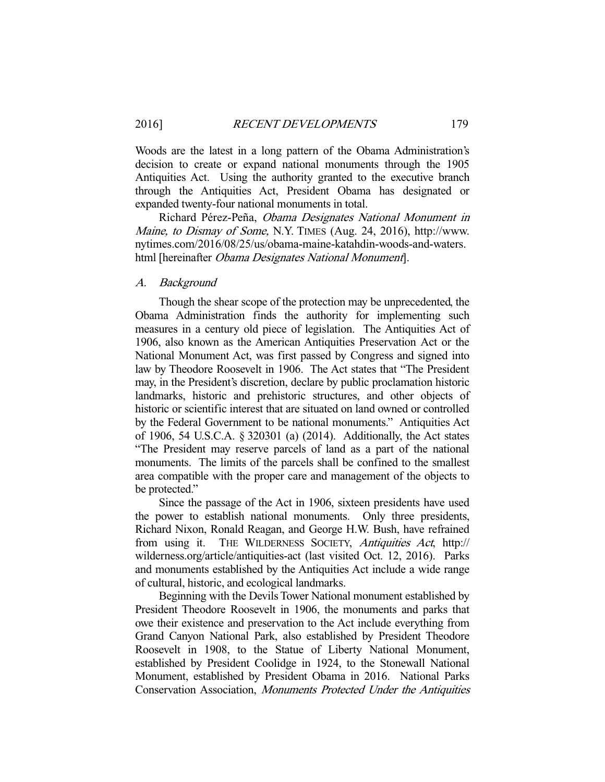Woods are the latest in a long pattern of the Obama Administration's decision to create or expand national monuments through the 1905 Antiquities Act. Using the authority granted to the executive branch through the Antiquities Act, President Obama has designated or expanded twenty-four national monuments in total.

 Richard Pérez-Peña, Obama Designates National Monument in Maine, to Dismay of Some, N.Y. TIMES (Aug. 24, 2016), http://www. nytimes.com/2016/08/25/us/obama-maine-katahdin-woods-and-waters. html [hereinafter *Obama Designates National Monument*].

## A. Background

 Though the shear scope of the protection may be unprecedented, the Obama Administration finds the authority for implementing such measures in a century old piece of legislation. The Antiquities Act of 1906, also known as the American Antiquities Preservation Act or the National Monument Act, was first passed by Congress and signed into law by Theodore Roosevelt in 1906. The Act states that "The President may, in the President's discretion, declare by public proclamation historic landmarks, historic and prehistoric structures, and other objects of historic or scientific interest that are situated on land owned or controlled by the Federal Government to be national monuments." Antiquities Act of 1906, 54 U.S.C.A. § 320301 (a) (2014). Additionally, the Act states "The President may reserve parcels of land as a part of the national monuments. The limits of the parcels shall be confined to the smallest area compatible with the proper care and management of the objects to be protected."

 Since the passage of the Act in 1906, sixteen presidents have used the power to establish national monuments. Only three presidents, Richard Nixon, Ronald Reagan, and George H.W. Bush, have refrained from using it. THE WILDERNESS SOCIETY, Antiquities Act, http:// wilderness.org/article/antiquities-act (last visited Oct. 12, 2016). Parks and monuments established by the Antiquities Act include a wide range of cultural, historic, and ecological landmarks.

 Beginning with the Devils Tower National monument established by President Theodore Roosevelt in 1906, the monuments and parks that owe their existence and preservation to the Act include everything from Grand Canyon National Park, also established by President Theodore Roosevelt in 1908, to the Statue of Liberty National Monument, established by President Coolidge in 1924, to the Stonewall National Monument, established by President Obama in 2016. National Parks Conservation Association, Monuments Protected Under the Antiquities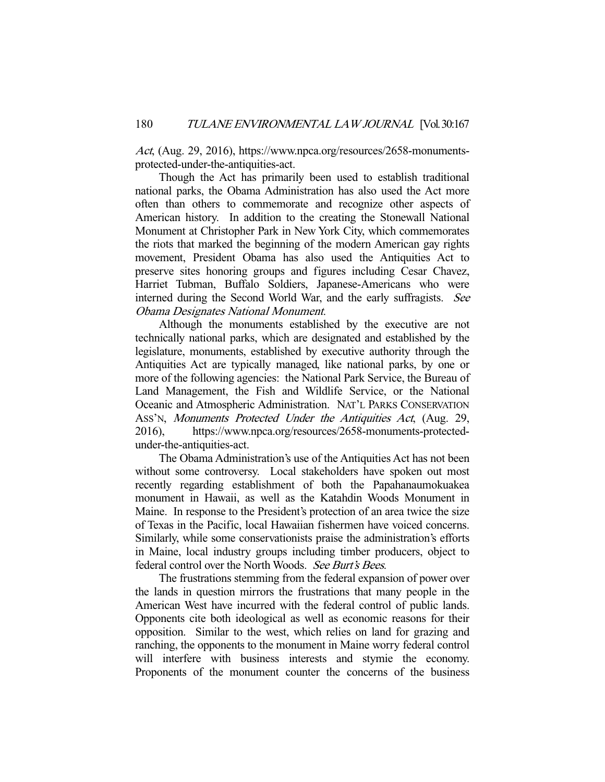Act, (Aug. 29, 2016), https://www.npca.org/resources/2658-monumentsprotected-under-the-antiquities-act.

 Though the Act has primarily been used to establish traditional national parks, the Obama Administration has also used the Act more often than others to commemorate and recognize other aspects of American history. In addition to the creating the Stonewall National Monument at Christopher Park in New York City, which commemorates the riots that marked the beginning of the modern American gay rights movement, President Obama has also used the Antiquities Act to preserve sites honoring groups and figures including Cesar Chavez, Harriet Tubman, Buffalo Soldiers, Japanese-Americans who were interned during the Second World War, and the early suffragists. See Obama Designates National Monument.

 Although the monuments established by the executive are not technically national parks, which are designated and established by the legislature, monuments, established by executive authority through the Antiquities Act are typically managed, like national parks, by one or more of the following agencies: the National Park Service, the Bureau of Land Management, the Fish and Wildlife Service, or the National Oceanic and Atmospheric Administration. NAT'L PARKS CONSERVATION ASS'N, Monuments Protected Under the Antiquities Act, (Aug. 29, 2016), https://www.npca.org/resources/2658-monuments-protectedunder-the-antiquities-act.

 The Obama Administration's use of the Antiquities Act has not been without some controversy. Local stakeholders have spoken out most recently regarding establishment of both the Papahanaumokuakea monument in Hawaii, as well as the Katahdin Woods Monument in Maine. In response to the President's protection of an area twice the size of Texas in the Pacific, local Hawaiian fishermen have voiced concerns. Similarly, while some conservationists praise the administration's efforts in Maine, local industry groups including timber producers, object to federal control over the North Woods. See Burt's Bees.

 The frustrations stemming from the federal expansion of power over the lands in question mirrors the frustrations that many people in the American West have incurred with the federal control of public lands. Opponents cite both ideological as well as economic reasons for their opposition. Similar to the west, which relies on land for grazing and ranching, the opponents to the monument in Maine worry federal control will interfere with business interests and stymie the economy. Proponents of the monument counter the concerns of the business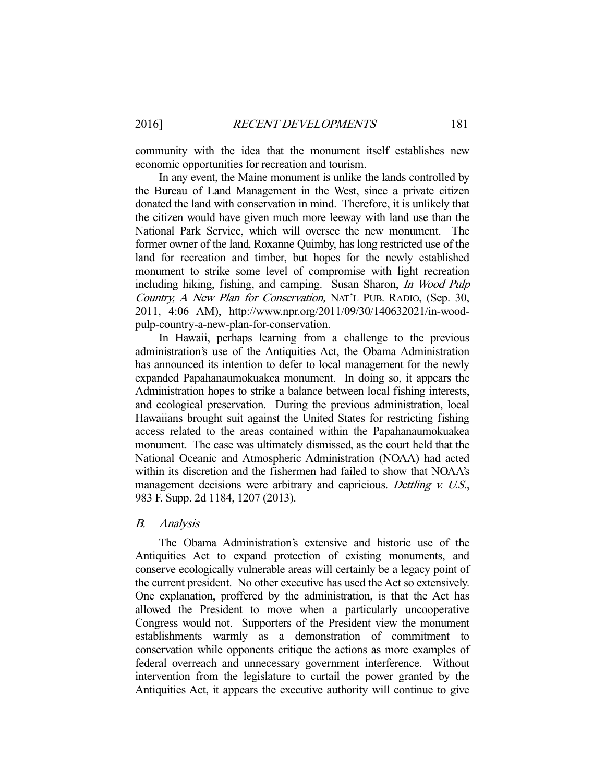community with the idea that the monument itself establishes new economic opportunities for recreation and tourism.

 In any event, the Maine monument is unlike the lands controlled by the Bureau of Land Management in the West, since a private citizen donated the land with conservation in mind. Therefore, it is unlikely that the citizen would have given much more leeway with land use than the National Park Service, which will oversee the new monument. The former owner of the land, Roxanne Quimby, has long restricted use of the land for recreation and timber, but hopes for the newly established monument to strike some level of compromise with light recreation including hiking, fishing, and camping. Susan Sharon, In Wood Pulp Country, A New Plan for Conservation, NAT'L PUB. RADIO, (Sep. 30, 2011, 4:06 AM), http://www.npr.org/2011/09/30/140632021/in-woodpulp-country-a-new-plan-for-conservation.

 In Hawaii, perhaps learning from a challenge to the previous administration's use of the Antiquities Act, the Obama Administration has announced its intention to defer to local management for the newly expanded Papahanaumokuakea monument. In doing so, it appears the Administration hopes to strike a balance between local fishing interests, and ecological preservation. During the previous administration, local Hawaiians brought suit against the United States for restricting fishing access related to the areas contained within the Papahanaumokuakea monument. The case was ultimately dismissed, as the court held that the National Oceanic and Atmospheric Administration (NOAA) had acted within its discretion and the fishermen had failed to show that NOAA's management decisions were arbitrary and capricious. Dettling v. U.S., 983 F. Supp. 2d 1184, 1207 (2013).

#### B. Analysis

 The Obama Administration's extensive and historic use of the Antiquities Act to expand protection of existing monuments, and conserve ecologically vulnerable areas will certainly be a legacy point of the current president. No other executive has used the Act so extensively. One explanation, proffered by the administration, is that the Act has allowed the President to move when a particularly uncooperative Congress would not. Supporters of the President view the monument establishments warmly as a demonstration of commitment to conservation while opponents critique the actions as more examples of federal overreach and unnecessary government interference. Without intervention from the legislature to curtail the power granted by the Antiquities Act, it appears the executive authority will continue to give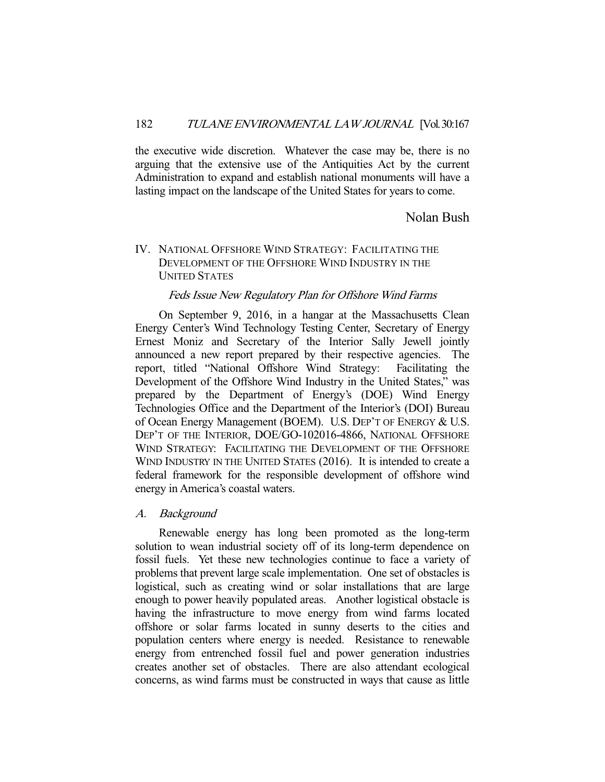the executive wide discretion. Whatever the case may be, there is no arguing that the extensive use of the Antiquities Act by the current Administration to expand and establish national monuments will have a lasting impact on the landscape of the United States for years to come.

# Nolan Bush

# IV. NATIONAL OFFSHORE WIND STRATEGY: FACILITATING THE DEVELOPMENT OF THE OFFSHORE WIND INDUSTRY IN THE UNITED STATES

## Feds Issue New Regulatory Plan for Offshore Wind Farms

 On September 9, 2016, in a hangar at the Massachusetts Clean Energy Center's Wind Technology Testing Center, Secretary of Energy Ernest Moniz and Secretary of the Interior Sally Jewell jointly announced a new report prepared by their respective agencies. The report, titled "National Offshore Wind Strategy: Facilitating the Development of the Offshore Wind Industry in the United States," was prepared by the Department of Energy's (DOE) Wind Energy Technologies Office and the Department of the Interior's (DOI) Bureau of Ocean Energy Management (BOEM). U.S. DEP'T OF ENERGY & U.S. DEP'T OF THE INTERIOR, DOE/GO-102016-4866, NATIONAL OFFSHORE WIND STRATEGY: FACILITATING THE DEVELOPMENT OF THE OFFSHORE WIND INDUSTRY IN THE UNITED STATES (2016). It is intended to create a federal framework for the responsible development of offshore wind energy in America's coastal waters.

#### A. Background

 Renewable energy has long been promoted as the long-term solution to wean industrial society off of its long-term dependence on fossil fuels. Yet these new technologies continue to face a variety of problems that prevent large scale implementation. One set of obstacles is logistical, such as creating wind or solar installations that are large enough to power heavily populated areas. Another logistical obstacle is having the infrastructure to move energy from wind farms located offshore or solar farms located in sunny deserts to the cities and population centers where energy is needed. Resistance to renewable energy from entrenched fossil fuel and power generation industries creates another set of obstacles. There are also attendant ecological concerns, as wind farms must be constructed in ways that cause as little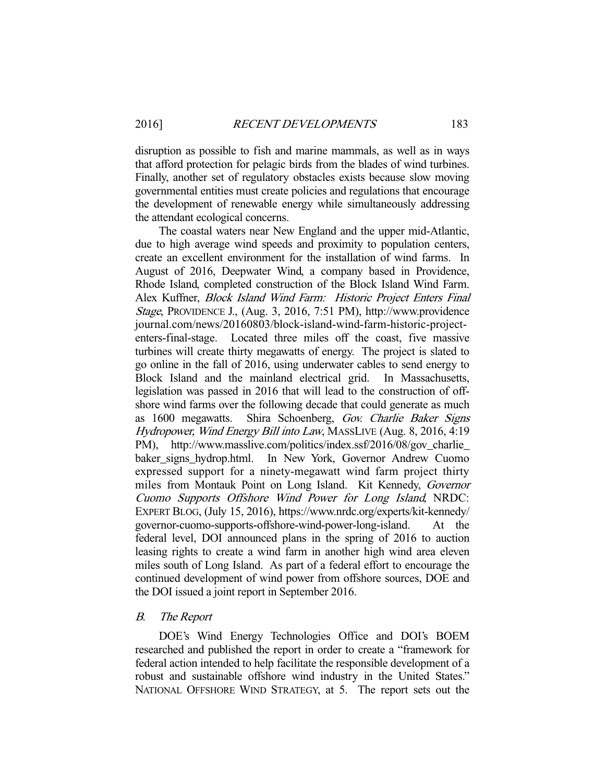disruption as possible to fish and marine mammals, as well as in ways that afford protection for pelagic birds from the blades of wind turbines. Finally, another set of regulatory obstacles exists because slow moving governmental entities must create policies and regulations that encourage the development of renewable energy while simultaneously addressing the attendant ecological concerns.

 The coastal waters near New England and the upper mid-Atlantic, due to high average wind speeds and proximity to population centers, create an excellent environment for the installation of wind farms. In August of 2016, Deepwater Wind, a company based in Providence, Rhode Island, completed construction of the Block Island Wind Farm. Alex Kuffner, Block Island Wind Farm: Historic Project Enters Final Stage, PROVIDENCE J., (Aug. 3, 2016, 7:51 PM), http://www.providence journal.com/news/20160803/block-island-wind-farm-historic-projectenters-final-stage. Located three miles off the coast, five massive turbines will create thirty megawatts of energy. The project is slated to go online in the fall of 2016, using underwater cables to send energy to Block Island and the mainland electrical grid. In Massachusetts, legislation was passed in 2016 that will lead to the construction of offshore wind farms over the following decade that could generate as much as 1600 megawatts. Shira Schoenberg, Gov. Charlie Baker Signs Hydropower, Wind Energy Bill into Law, MASSLIVE (Aug. 8, 2016, 4:19 PM), http://www.masslive.com/politics/index.ssf/2016/08/gov\_charlie\_ baker signs hydrop.html. In New York, Governor Andrew Cuomo expressed support for a ninety-megawatt wind farm project thirty miles from Montauk Point on Long Island. Kit Kennedy, Governor Cuomo Supports Offshore Wind Power for Long Island, NRDC: EXPERT BLOG, (July 15, 2016), https://www.nrdc.org/experts/kit-kennedy/ governor-cuomo-supports-offshore-wind-power-long-island. At the federal level, DOI announced plans in the spring of 2016 to auction leasing rights to create a wind farm in another high wind area eleven miles south of Long Island. As part of a federal effort to encourage the continued development of wind power from offshore sources, DOE and the DOI issued a joint report in September 2016.

#### B. The Report

 DOE's Wind Energy Technologies Office and DOI's BOEM researched and published the report in order to create a "framework for federal action intended to help facilitate the responsible development of a robust and sustainable offshore wind industry in the United States." NATIONAL OFFSHORE WIND STRATEGY, at 5. The report sets out the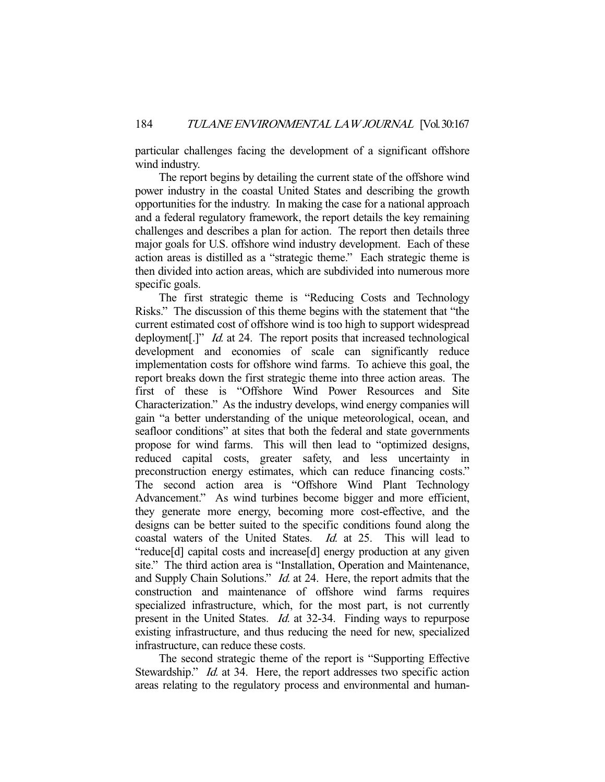particular challenges facing the development of a significant offshore wind industry.

 The report begins by detailing the current state of the offshore wind power industry in the coastal United States and describing the growth opportunities for the industry. In making the case for a national approach and a federal regulatory framework, the report details the key remaining challenges and describes a plan for action. The report then details three major goals for U.S. offshore wind industry development. Each of these action areas is distilled as a "strategic theme." Each strategic theme is then divided into action areas, which are subdivided into numerous more specific goals.

 The first strategic theme is "Reducing Costs and Technology Risks." The discussion of this theme begins with the statement that "the current estimated cost of offshore wind is too high to support widespread deployment[.]" *Id.* at 24. The report posits that increased technological development and economies of scale can significantly reduce implementation costs for offshore wind farms. To achieve this goal, the report breaks down the first strategic theme into three action areas. The first of these is "Offshore Wind Power Resources and Site Characterization." As the industry develops, wind energy companies will gain "a better understanding of the unique meteorological, ocean, and seafloor conditions" at sites that both the federal and state governments propose for wind farms. This will then lead to "optimized designs, reduced capital costs, greater safety, and less uncertainty in preconstruction energy estimates, which can reduce financing costs." The second action area is "Offshore Wind Plant Technology Advancement." As wind turbines become bigger and more efficient, they generate more energy, becoming more cost-effective, and the designs can be better suited to the specific conditions found along the coastal waters of the United States. Id. at 25. This will lead to "reduce[d] capital costs and increase[d] energy production at any given site." The third action area is "Installation, Operation and Maintenance, and Supply Chain Solutions." *Id.* at 24. Here, the report admits that the construction and maintenance of offshore wind farms requires specialized infrastructure, which, for the most part, is not currently present in the United States. Id. at 32-34. Finding ways to repurpose existing infrastructure, and thus reducing the need for new, specialized infrastructure, can reduce these costs.

 The second strategic theme of the report is "Supporting Effective Stewardship." *Id.* at 34. Here, the report addresses two specific action areas relating to the regulatory process and environmental and human-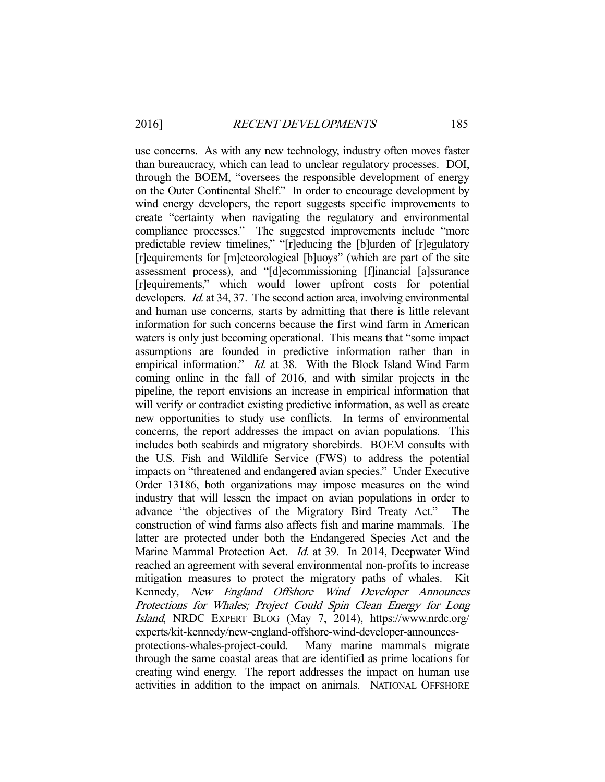use concerns. As with any new technology, industry often moves faster than bureaucracy, which can lead to unclear regulatory processes. DOI, through the BOEM, "oversees the responsible development of energy on the Outer Continental Shelf." In order to encourage development by wind energy developers, the report suggests specific improvements to create "certainty when navigating the regulatory and environmental compliance processes." The suggested improvements include "more predictable review timelines," "[r]educing the [b]urden of [r]egulatory [r]equirements for [m]eteorological [b]uoys" (which are part of the site assessment process), and "[d]ecommissioning [f]inancial [a]ssurance [r]equirements," which would lower upfront costs for potential developers. *Id.* at 34, 37. The second action area, involving environmental and human use concerns, starts by admitting that there is little relevant information for such concerns because the first wind farm in American waters is only just becoming operational. This means that "some impact" assumptions are founded in predictive information rather than in empirical information." *Id.* at 38. With the Block Island Wind Farm coming online in the fall of 2016, and with similar projects in the pipeline, the report envisions an increase in empirical information that will verify or contradict existing predictive information, as well as create new opportunities to study use conflicts. In terms of environmental concerns, the report addresses the impact on avian populations. This includes both seabirds and migratory shorebirds. BOEM consults with the U.S. Fish and Wildlife Service (FWS) to address the potential impacts on "threatened and endangered avian species." Under Executive Order 13186, both organizations may impose measures on the wind industry that will lessen the impact on avian populations in order to advance "the objectives of the Migratory Bird Treaty Act." The construction of wind farms also affects fish and marine mammals. The latter are protected under both the Endangered Species Act and the Marine Mammal Protection Act. Id. at 39. In 2014, Deepwater Wind reached an agreement with several environmental non-profits to increase mitigation measures to protect the migratory paths of whales. Kit Kennedy, New England Offshore Wind Developer Announces Protections for Whales; Project Could Spin Clean Energy for Long Island, NRDC EXPERT BLOG (May 7, 2014), https://www.nrdc.org/ experts/kit-kennedy/new-england-offshore-wind-developer-announcesprotections-whales-project-could. Many marine mammals migrate through the same coastal areas that are identified as prime locations for creating wind energy. The report addresses the impact on human use activities in addition to the impact on animals. NATIONAL OFFSHORE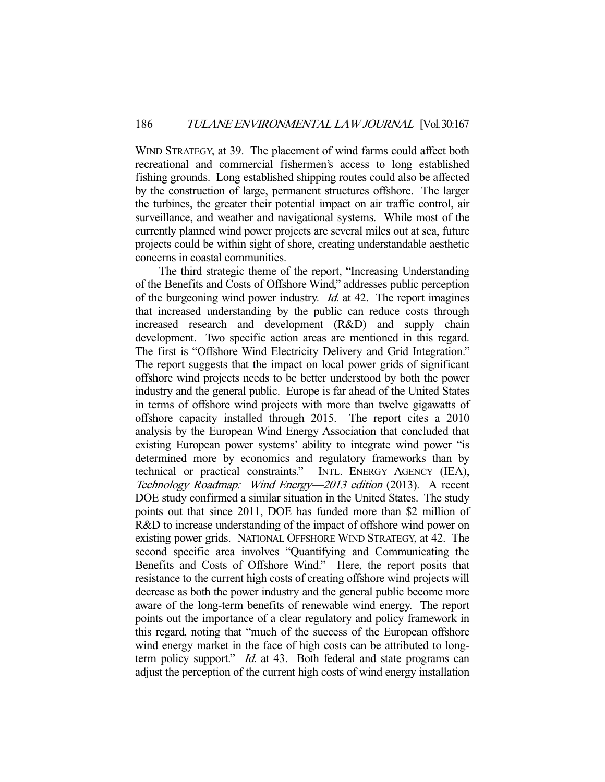WIND STRATEGY, at 39. The placement of wind farms could affect both recreational and commercial fishermen's access to long established fishing grounds. Long established shipping routes could also be affected by the construction of large, permanent structures offshore. The larger the turbines, the greater their potential impact on air traffic control, air surveillance, and weather and navigational systems. While most of the currently planned wind power projects are several miles out at sea, future projects could be within sight of shore, creating understandable aesthetic concerns in coastal communities.

 The third strategic theme of the report, "Increasing Understanding of the Benefits and Costs of Offshore Wind," addresses public perception of the burgeoning wind power industry. Id. at 42. The report imagines that increased understanding by the public can reduce costs through increased research and development (R&D) and supply chain development. Two specific action areas are mentioned in this regard. The first is "Offshore Wind Electricity Delivery and Grid Integration." The report suggests that the impact on local power grids of significant offshore wind projects needs to be better understood by both the power industry and the general public. Europe is far ahead of the United States in terms of offshore wind projects with more than twelve gigawatts of offshore capacity installed through 2015. The report cites a 2010 analysis by the European Wind Energy Association that concluded that existing European power systems' ability to integrate wind power "is determined more by economics and regulatory frameworks than by technical or practical constraints." INTL. ENERGY AGENCY (IEA), Technology Roadmap: Wind Energy—2013 edition (2013). A recent DOE study confirmed a similar situation in the United States. The study points out that since 2011, DOE has funded more than \$2 million of R&D to increase understanding of the impact of offshore wind power on existing power grids. NATIONAL OFFSHORE WIND STRATEGY, at 42. The second specific area involves "Quantifying and Communicating the Benefits and Costs of Offshore Wind." Here, the report posits that resistance to the current high costs of creating offshore wind projects will decrease as both the power industry and the general public become more aware of the long-term benefits of renewable wind energy. The report points out the importance of a clear regulatory and policy framework in this regard, noting that "much of the success of the European offshore wind energy market in the face of high costs can be attributed to longterm policy support." *Id.* at 43. Both federal and state programs can adjust the perception of the current high costs of wind energy installation